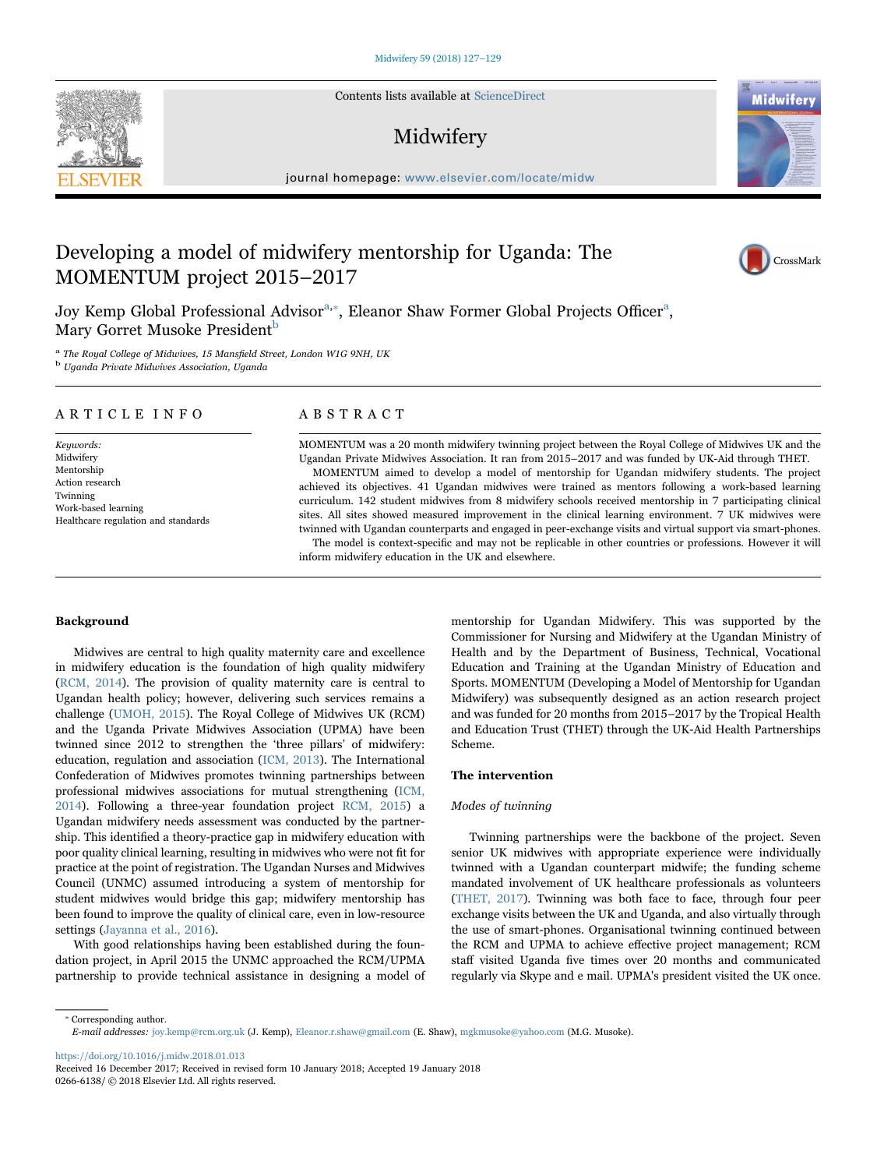Contents lists available at [ScienceDirect](http://www.sciencedirect.com/science/journal/02666138)

# Midwifery

journal homepage: [www.elsevier.com/locate/midw](http://www.elsevier.com/locate/midw)

# Developing a model of midwifery mentorship for Uganda: The MOMENTUM project 2015–2017

Joy Kemp Global Professional Advisor<sup>[a,](#page-0-0)\*</sup>[, Eleanor Shaw Former Global Projects O](#page-0-1)fficer<sup>a</sup>[,](#page-0-0) Mary Gorret Musoke President<sup>b</sup>

<span id="page-0-0"></span><sup>a</sup> The Royal College of Midwives, 15 Mansfield Street, London W1G 9NH, UK b Uganda Private Midwives Association, Uganda

<span id="page-0-2"></span>

# ARTICLE INFO

Keywords: Midwifery Mentorship Action research Twinning Work-based learning Healthcare regulation and standards

# ABSTRACT

MOMENTUM was a 20 month midwifery twinning project between the Royal College of Midwives UK and the Ugandan Private Midwives Association. It ran from 2015–2017 and was funded by UK-Aid through THET. MOMENTUM aimed to develop a model of mentorship for Ugandan midwifery students. The project achieved its objectives. 41 Ugandan midwives were trained as mentors following a work-based learning curriculum. 142 student midwives from 8 midwifery schools received mentorship in 7 participating clinical sites. All sites showed measured improvement in the clinical learning environment. 7 UK midwives were twinned with Ugandan counterparts and engaged in peer-exchange visits and virtual support via smart-phones. The model is context-specific and may not be replicable in other countries or professions. However it will

inform midwifery education in the UK and elsewhere.

#### Background

Midwives are central to high quality maternity care and excellence in midwifery education is the foundation of high quality midwifery ([RCM, 2014\)](#page-2-0). The provision of quality maternity care is central to Ugandan health policy; however, delivering such services remains a challenge [\(UMOH, 2015](#page-2-1)). The Royal College of Midwives UK (RCM) and the Uganda Private Midwives Association (UPMA) have been twinned since 2012 to strengthen the 'three pillars' of midwifery: education, regulation and association [\(ICM, 2013](#page-2-2)). The International Confederation of Midwives promotes twinning partnerships between professional midwives associations for mutual strengthening ([ICM,](#page-2-3) [2014\)](#page-2-3). Following a three-year foundation project [RCM, 2015](#page-2-4)) a Ugandan midwifery needs assessment was conducted by the partnership. This identified a theory-practice gap in midwifery education with poor quality clinical learning, resulting in midwives who were not fit for practice at the point of registration. The Ugandan Nurses and Midwives Council (UNMC) assumed introducing a system of mentorship for student midwives would bridge this gap; midwifery mentorship has been found to improve the quality of clinical care, even in low-resource settings ([Jayanna et al., 2016](#page-2-5)).

With good relationships having been established during the foundation project, in April 2015 the UNMC approached the RCM/UPMA partnership to provide technical assistance in designing a model of

mentorship for Ugandan Midwifery. This was supported by the Commissioner for Nursing and Midwifery at the Ugandan Ministry of Health and by the Department of Business, Technical, Vocational Education and Training at the Ugandan Ministry of Education and Sports. MOMENTUM (Developing a Model of Mentorship for Ugandan Midwifery) was subsequently designed as an action research project and was funded for 20 months from 2015–2017 by the Tropical Health and Education Trust (THET) through the UK-Aid Health Partnerships Scheme.

## The intervention

# Modes of twinning

Twinning partnerships were the backbone of the project. Seven senior UK midwives with appropriate experience were individually twinned with a Ugandan counterpart midwife; the funding scheme mandated involvement of UK healthcare professionals as volunteers ([THET, 2017](#page-2-6)). Twinning was both face to face, through four peer exchange visits between the UK and Uganda, and also virtually through the use of smart-phones. Organisational twinning continued between the RCM and UPMA to achieve effective project management; RCM staff visited Uganda five times over 20 months and communicated regularly via Skype and e mail. UPMA's president visited the UK once.

<span id="page-0-1"></span>⁎ Corresponding author. E-mail addresses: joy.kemp@rcm.org.uk (J. Kemp), Eleanor.r.shaw@gmail.com (E. Shaw), mgkmusoke@yahoo.com (M.G. Musoke).

<https://doi.org/10.1016/j.midw.2018.01.013>







Received 16 December 2017; Received in revised form 10 January 2018; Accepted 19 January 2018 0266-6138/ © 2018 Elsevier Ltd. All rights reserved.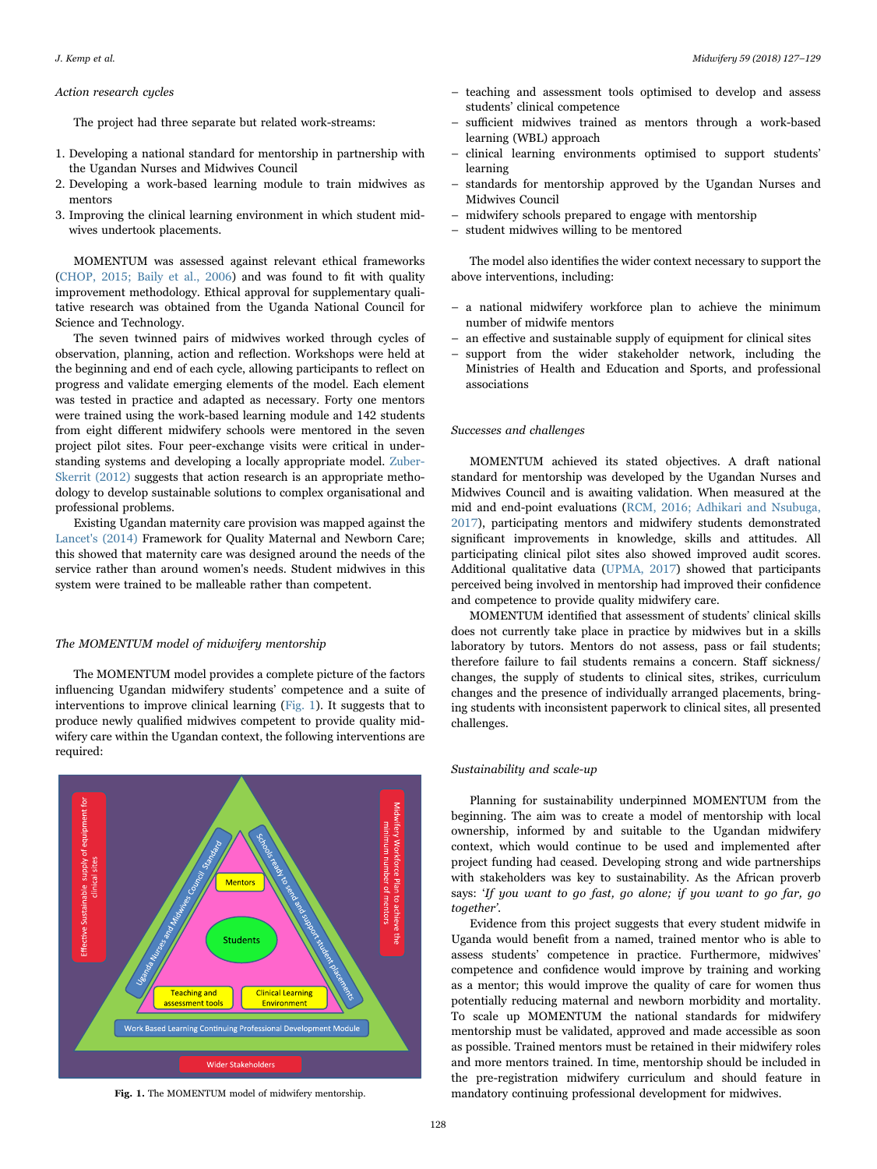#### Action research cycles

The project had three separate but related work-streams:

- 1. Developing a national standard for mentorship in partnership with the Ugandan Nurses and Midwives Council
- 2. Developing a work-based learning module to train midwives as mentors
- 3. Improving the clinical learning environment in which student midwives undertook placements.

MOMENTUM was assessed against relevant ethical frameworks ([CHOP, 2015; Baily et al., 2006](#page-2-7)) and was found to fit with quality improvement methodology. Ethical approval for supplementary qualitative research was obtained from the Uganda National Council for Science and Technology.

The seven twinned pairs of midwives worked through cycles of observation, planning, action and reflection. Workshops were held at the beginning and end of each cycle, allowing participants to reflect on progress and validate emerging elements of the model. Each element was tested in practice and adapted as necessary. Forty one mentors were trained using the work-based learning module and 142 students from eight different midwifery schools were mentored in the seven project pilot sites. Four peer-exchange visits were critical in understanding systems and developing a locally appropriate model. [Zuber-](#page-2-8)[Skerrit \(2012\)](#page-2-8) suggests that action research is an appropriate methodology to develop sustainable solutions to complex organisational and professional problems.

Existing Ugandan maternity care provision was mapped against the [Lancet's \(2014\)](#page-2-9) Framework for Quality Maternal and Newborn Care; this showed that maternity care was designed around the needs of the service rather than around women's needs. Student midwives in this system were trained to be malleable rather than competent.

## The MOMENTUM model of midwifery mentorship

The MOMENTUM model provides a complete picture of the factors influencing Ugandan midwifery students' competence and a suite of interventions to improve clinical learning ([Fig. 1\)](#page-1-0). It suggests that to produce newly qualified midwives competent to provide quality midwifery care within the Ugandan context, the following interventions are required:

<span id="page-1-0"></span>

- teaching and assessment tools optimised to develop and assess students' clinical competence
- sufficient midwives trained as mentors through a work-based learning (WBL) approach
- clinical learning environments optimised to support students' learning
- standards for mentorship approved by the Ugandan Nurses and Midwives Council
- midwifery schools prepared to engage with mentorship
- student midwives willing to be mentored

The model also identifies the wider context necessary to support the above interventions, including:

- a national midwifery workforce plan to achieve the minimum number of midwife mentors
- an effective and sustainable supply of equipment for clinical sites
- support from the wider stakeholder network, including the Ministries of Health and Education and Sports, and professional associations

#### Successes and challenges

MOMENTUM achieved its stated objectives. A draft national standard for mentorship was developed by the Ugandan Nurses and Midwives Council and is awaiting validation. When measured at the mid and end-point evaluations ([RCM, 2016; Adhikari and Nsubuga,](#page-2-10) [2017\)](#page-2-10), participating mentors and midwifery students demonstrated significant improvements in knowledge, skills and attitudes. All participating clinical pilot sites also showed improved audit scores. Additional qualitative data ([UPMA, 2017](#page-2-11)) showed that participants perceived being involved in mentorship had improved their confidence and competence to provide quality midwifery care.

MOMENTUM identified that assessment of students' clinical skills does not currently take place in practice by midwives but in a skills laboratory by tutors. Mentors do not assess, pass or fail students; therefore failure to fail students remains a concern. Staff sickness/ changes, the supply of students to clinical sites, strikes, curriculum changes and the presence of individually arranged placements, bringing students with inconsistent paperwork to clinical sites, all presented challenges.

### Sustainability and scale-up

Planning for sustainability underpinned MOMENTUM from the beginning. The aim was to create a model of mentorship with local ownership, informed by and suitable to the Ugandan midwifery context, which would continue to be used and implemented after project funding had ceased. Developing strong and wide partnerships with stakeholders was key to sustainability. As the African proverb says: 'If you want to go fast, go alone; if you want to go far, go together'.

Evidence from this project suggests that every student midwife in Uganda would benefit from a named, trained mentor who is able to assess students' competence in practice. Furthermore, midwives' competence and confidence would improve by training and working as a mentor; this would improve the quality of care for women thus potentially reducing maternal and newborn morbidity and mortality. To scale up MOMENTUM the national standards for midwifery mentorship must be validated, approved and made accessible as soon as possible. Trained mentors must be retained in their midwifery roles and more mentors trained. In time, mentorship should be included in the pre-registration midwifery curriculum and should feature in Fig. 1. The MOMENTUM model of midwifery mentorship. mandatory continuing professional development for midwives.